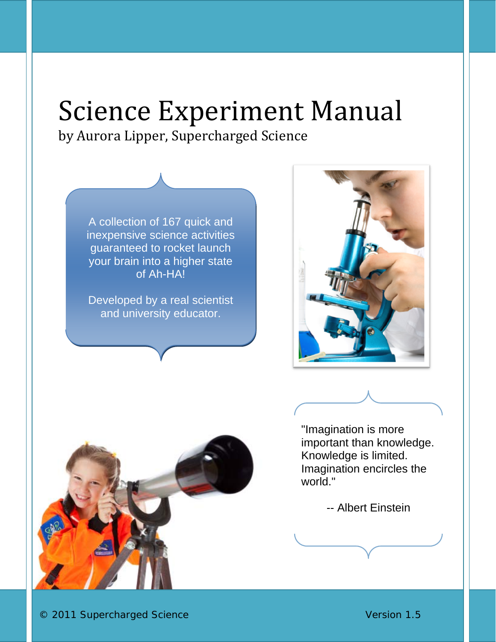## Science Experiment Manual by Aurora Lipper, Supercharged Science

A collection of 167 quick and inexpensive science activities guaranteed to rocket launch your brain into a higher state of Ah-HA!

Developed by a real scientist and university educator.





"Imagination is more important than knowledge. Knowledge is limited. Imagination encircles the world."

-- Albert Einstein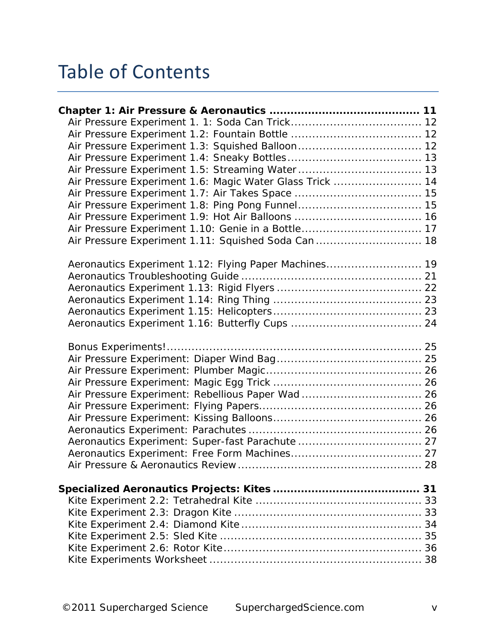## Table of Contents

| Air Pressure Experiment 1.6: Magic Water Glass Trick  14 |  |
|----------------------------------------------------------|--|
|                                                          |  |
|                                                          |  |
|                                                          |  |
| Air Pressure Experiment 1.10: Genie in a Bottle 17       |  |
| Air Pressure Experiment 1.11: Squished Soda Can  18      |  |
|                                                          |  |
| Aeronautics Experiment 1.12: Flying Paper Machines 19    |  |
|                                                          |  |
|                                                          |  |
|                                                          |  |
|                                                          |  |
|                                                          |  |
|                                                          |  |
|                                                          |  |
|                                                          |  |
|                                                          |  |
| Air Pressure Experiment: Rebellious Paper Wad 26         |  |
|                                                          |  |
|                                                          |  |
|                                                          |  |
| Aeronautics Experiment: Super-fast Parachute  27         |  |
|                                                          |  |
|                                                          |  |
|                                                          |  |
|                                                          |  |
|                                                          |  |
|                                                          |  |
|                                                          |  |
|                                                          |  |
|                                                          |  |
|                                                          |  |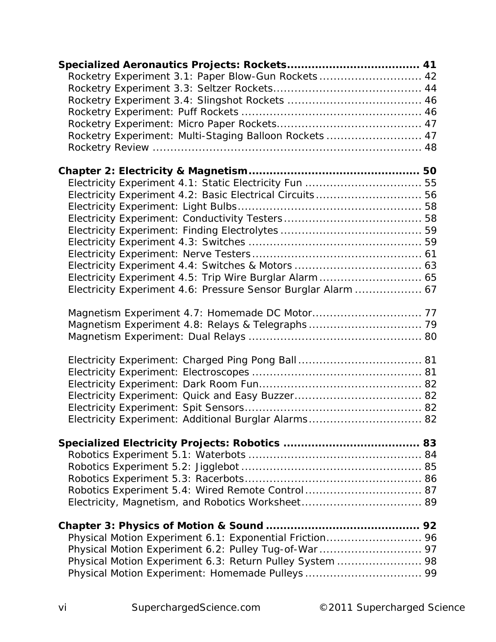| Rocketry Experiment 3.1: Paper Blow-Gun Rockets 42            |  |
|---------------------------------------------------------------|--|
|                                                               |  |
|                                                               |  |
|                                                               |  |
|                                                               |  |
| Rocketry Experiment: Multi-Staging Balloon Rockets  47        |  |
|                                                               |  |
|                                                               |  |
|                                                               |  |
| Electricity Experiment 4.2: Basic Electrical Circuits 56      |  |
|                                                               |  |
|                                                               |  |
|                                                               |  |
|                                                               |  |
|                                                               |  |
|                                                               |  |
|                                                               |  |
| Electricity Experiment 4.6: Pressure Sensor Burglar Alarm  67 |  |
|                                                               |  |
|                                                               |  |
|                                                               |  |
|                                                               |  |
|                                                               |  |
|                                                               |  |
|                                                               |  |
|                                                               |  |
|                                                               |  |
|                                                               |  |
| Electricity Experiment: Additional Burglar Alarms 82          |  |
|                                                               |  |
|                                                               |  |
|                                                               |  |
|                                                               |  |
|                                                               |  |
| Robotics Experiment 5.4: Wired Remote Control  87             |  |
|                                                               |  |
|                                                               |  |
| Physical Motion Experiment 6.1: Exponential Friction 96       |  |
| Physical Motion Experiment 6.2: Pulley Tug-of-War  97         |  |
| Physical Motion Experiment 6.3: Return Pulley System  98      |  |
|                                                               |  |
|                                                               |  |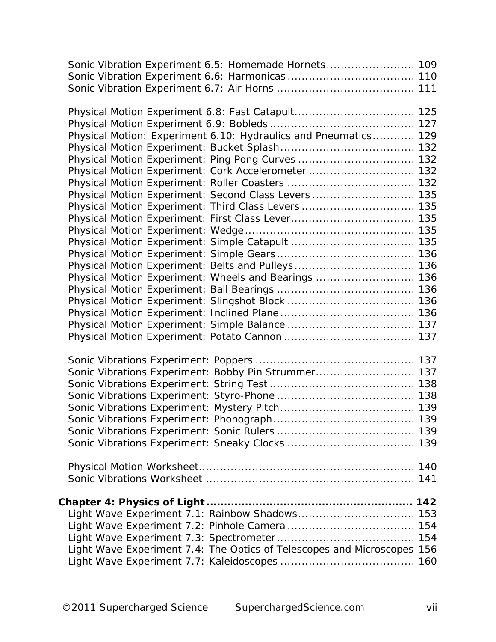| Sonic Vibration Experiment 6.5: Homemade Hornets 109                    |  |
|-------------------------------------------------------------------------|--|
|                                                                         |  |
|                                                                         |  |
|                                                                         |  |
|                                                                         |  |
| Physical Motion: Experiment 6.10: Hydraulics and Pneumatics 129         |  |
|                                                                         |  |
| Physical Motion Experiment: Ping Pong Curves  132                       |  |
| Physical Motion Experiment: Cork Accelerometer  132                     |  |
|                                                                         |  |
| Physical Motion Experiment: Second Class Levers  135                    |  |
| Physical Motion Experiment: Third Class Levers  135                     |  |
|                                                                         |  |
|                                                                         |  |
|                                                                         |  |
|                                                                         |  |
|                                                                         |  |
| Physical Motion Experiment: Wheels and Bearings  136                    |  |
|                                                                         |  |
|                                                                         |  |
|                                                                         |  |
|                                                                         |  |
|                                                                         |  |
|                                                                         |  |
| Sonic Vibrations Experiment: Bobby Pin Strummer 137                     |  |
|                                                                         |  |
|                                                                         |  |
|                                                                         |  |
|                                                                         |  |
|                                                                         |  |
|                                                                         |  |
|                                                                         |  |
|                                                                         |  |
|                                                                         |  |
| Light Wave Experiment 7.1: Rainbow Shadows 153                          |  |
|                                                                         |  |
|                                                                         |  |
| Light Wave Experiment 7.4: The Optics of Telescopes and Microscopes 156 |  |
|                                                                         |  |
|                                                                         |  |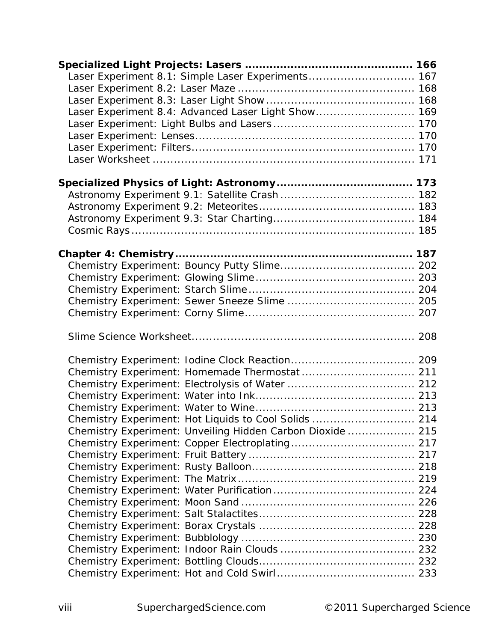| Laser Experiment 8.1: Simple Laser Experiments 167         |  |
|------------------------------------------------------------|--|
|                                                            |  |
|                                                            |  |
| Laser Experiment 8.4: Advanced Laser Light Show 169        |  |
|                                                            |  |
|                                                            |  |
|                                                            |  |
|                                                            |  |
|                                                            |  |
|                                                            |  |
|                                                            |  |
|                                                            |  |
|                                                            |  |
|                                                            |  |
|                                                            |  |
|                                                            |  |
|                                                            |  |
|                                                            |  |
|                                                            |  |
|                                                            |  |
|                                                            |  |
|                                                            |  |
|                                                            |  |
|                                                            |  |
|                                                            |  |
|                                                            |  |
|                                                            |  |
| Chemistry Experiment: Hot Liquids to Cool Solids  214      |  |
| Chemistry Experiment: Unveiling Hidden Carbon Dioxide  215 |  |
|                                                            |  |
|                                                            |  |
|                                                            |  |
|                                                            |  |
|                                                            |  |
|                                                            |  |
|                                                            |  |
|                                                            |  |
|                                                            |  |
|                                                            |  |
|                                                            |  |